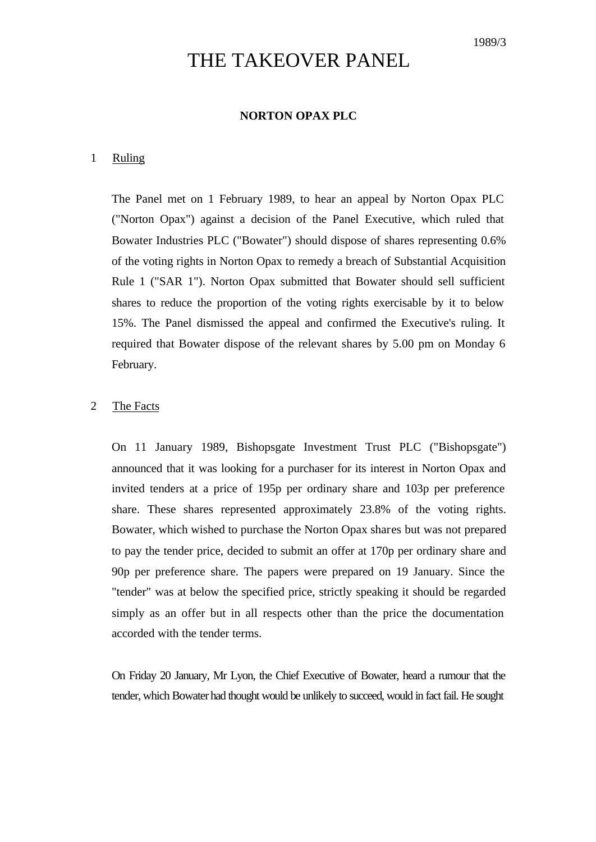# THE TAKEOVER PANEL

# **NORTON OPAX PLC**

#### 1 Ruling

The Panel met on 1 February 1989, to hear an appeal by Norton Opax PLC ("Norton Opax") against a decision of the Panel Executive, which ruled that Bowater Industries PLC ("Bowater") should dispose of shares representing 0.6% of the voting rights in Norton Opax to remedy a breach of Substantial Acquisition Rule 1 ("SAR 1"). Norton Opax submitted that Bowater should sell sufficient shares to reduce the proportion of the voting rights exercisable by it to below 15%. The Panel dismissed the appeal and confirmed the Executive's ruling. It required that Bowater dispose of the relevant shares by 5.00 pm on Monday 6 February.

# 2 The Facts

On 11 January 1989, Bishopsgate Investment Trust PLC ("Bishopsgate") announced that it was looking for a purchaser for its interest in Norton Opax and invited tenders at a price of 195p per ordinary share and 103p per preference share. These shares represented approximately 23.8% of the voting rights. Bowater, which wished to purchase the Norton Opax shares but was not prepared to pay the tender price, decided to submit an offer at 170p per ordinary share and 90p per preference share. The papers were prepared on 19 January. Since the "tender" was at below the specified price, strictly speaking it should be regarded simply as an offer but in all respects other than the price the documentation accorded with the tender terms.

On Friday 20 January, Mr Lyon, the Chief Executive of Bowater, heard a rumour that the tender, which Bowater had thought would be unlikely to succeed, would in fact fail. He sought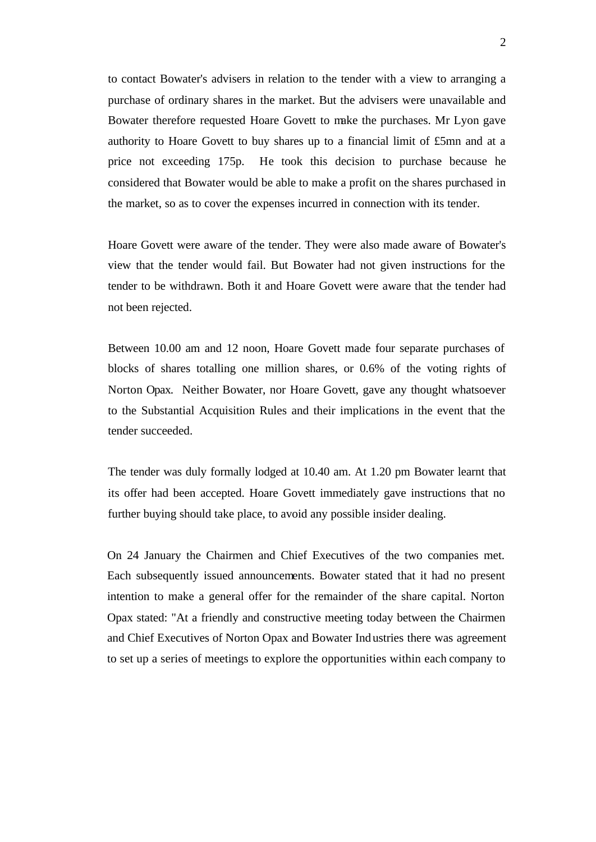to contact Bowater's advisers in relation to the tender with a view to arranging a purchase of ordinary shares in the market. But the advisers were unavailable and Bowater therefore requested Hoare Govett to make the purchases. Mr Lyon gave authority to Hoare Govett to buy shares up to a financial limit of £5mn and at a price not exceeding 175p. He took this decision to purchase because he considered that Bowater would be able to make a profit on the shares purchased in the market, so as to cover the expenses incurred in connection with its tender.

Hoare Govett were aware of the tender. They were also made aware of Bowater's view that the tender would fail. But Bowater had not given instructions for the tender to be withdrawn. Both it and Hoare Govett were aware that the tender had not been rejected.

Between 10.00 am and 12 noon, Hoare Govett made four separate purchases of blocks of shares totalling one million shares, or 0.6% of the voting rights of Norton Opax. Neither Bowater, nor Hoare Govett, gave any thought whatsoever to the Substantial Acquisition Rules and their implications in the event that the tender succeeded.

The tender was duly formally lodged at 10.40 am. At 1.20 pm Bowater learnt that its offer had been accepted. Hoare Govett immediately gave instructions that no further buying should take place, to avoid any possible insider dealing.

On 24 January the Chairmen and Chief Executives of the two companies met. Each subsequently issued announcements. Bowater stated that it had no present intention to make a general offer for the remainder of the share capital. Norton Opax stated: "At a friendly and constructive meeting today between the Chairmen and Chief Executives of Norton Opax and Bowater Industries there was agreement to set up a series of meetings to explore the opportunities within each company to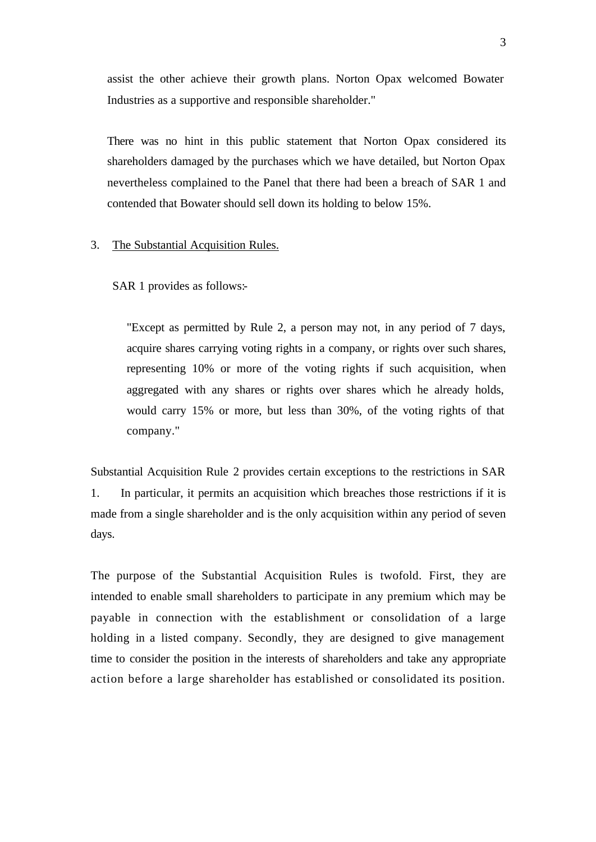assist the other achieve their growth plans. Norton Opax welcomed Bowater Industries as a supportive and responsible shareholder."

There was no hint in this public statement that Norton Opax considered its shareholders damaged by the purchases which we have detailed, but Norton Opax nevertheless complained to the Panel that there had been a breach of SAR 1 and contended that Bowater should sell down its holding to below 15%.

### 3. The Substantial Acquisition Rules.

SAR 1 provides as follows:-

"Except as permitted by Rule 2, a person may not, in any period of 7 days, acquire shares carrying voting rights in a company, or rights over such shares, representing 10% or more of the voting rights if such acquisition, when aggregated with any shares or rights over shares which he already holds, would carry 15% or more, but less than 30%, of the voting rights of that company."

Substantial Acquisition Rule 2 provides certain exceptions to the restrictions in SAR 1. In particular, it permits an acquisition which breaches those restrictions if it is made from a single shareholder and is the only acquisition within any period of seven days.

The purpose of the Substantial Acquisition Rules is twofold. First, they are intended to enable small shareholders to participate in any premium which may be payable in connection with the establishment or consolidation of a large holding in a listed company. Secondly, they are designed to give management time to consider the position in the interests of shareholders and take any appropriate action before a large shareholder has established or consolidated its position.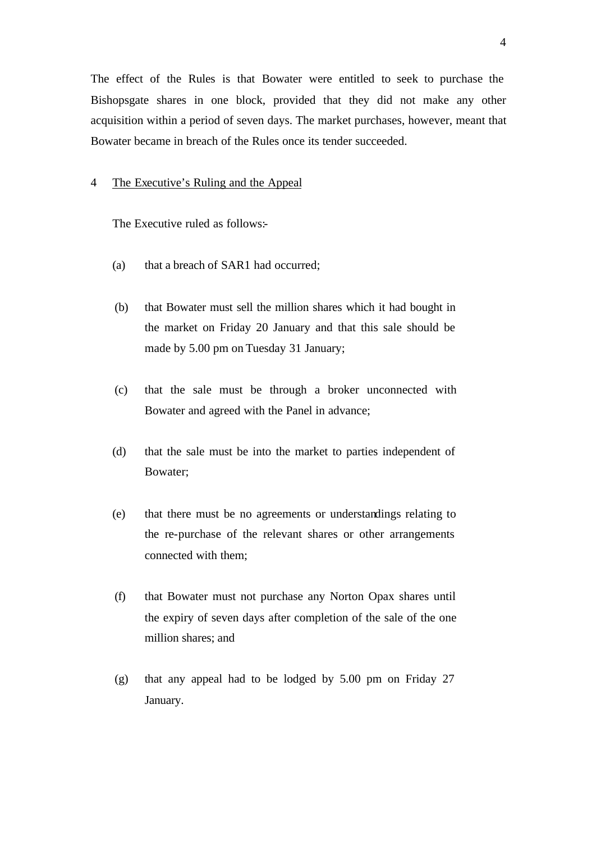The effect of the Rules is that Bowater were entitled to seek to purchase the Bishopsgate shares in one block, provided that they did not make any other acquisition within a period of seven days. The market purchases, however, meant that Bowater became in breach of the Rules once its tender succeeded.

#### 4 The Executive's Ruling and the Appeal

The Executive ruled as follows:-

- (a) that a breach of SAR1 had occurred;
- (b) that Bowater must sell the million shares which it had bought in the market on Friday 20 January and that this sale should be made by 5.00 pm on Tuesday 31 January;
- (c) that the sale must be through a broker unconnected with Bowater and agreed with the Panel in advance;
- (d) that the sale must be into the market to parties independent of Bowater;
- (e) that there must be no agreements or understandings relating to the re-purchase of the relevant shares or other arrangements connected with them;
- (f) that Bowater must not purchase any Norton Opax shares until the expiry of seven days after completion of the sale of the one million shares; and
- (g) that any appeal had to be lodged by 5.00 pm on Friday 27 January.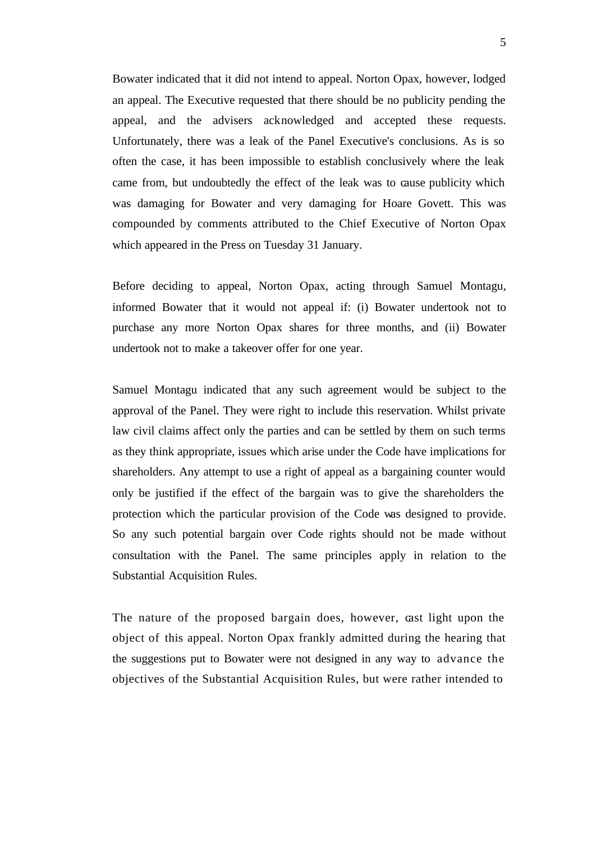Bowater indicated that it did not intend to appeal. Norton Opax, however, lodged an appeal. The Executive requested that there should be no publicity pending the appeal, and the advisers acknowledged and accepted these requests. Unfortunately, there was a leak of the Panel Executive's conclusions. As is so often the case, it has been impossible to establish conclusively where the leak came from, but undoubtedly the effect of the leak was to cause publicity which was damaging for Bowater and very damaging for Hoare Govett. This was compounded by comments attributed to the Chief Executive of Norton Opax which appeared in the Press on Tuesday 31 January.

Before deciding to appeal, Norton Opax, acting through Samuel Montagu, informed Bowater that it would not appeal if: (i) Bowater undertook not to purchase any more Norton Opax shares for three months, and (ii) Bowater undertook not to make a takeover offer for one year.

Samuel Montagu indicated that any such agreement would be subject to the approval of the Panel. They were right to include this reservation. Whilst private law civil claims affect only the parties and can be settled by them on such terms as they think appropriate, issues which arise under the Code have implications for shareholders. Any attempt to use a right of appeal as a bargaining counter would only be justified if the effect of the bargain was to give the shareholders the protection which the particular provision of the Code was designed to provide. So any such potential bargain over Code rights should not be made without consultation with the Panel. The same principles apply in relation to the Substantial Acquisition Rules.

The nature of the proposed bargain does, however, cast light upon the object of this appeal. Norton Opax frankly admitted during the hearing that the suggestions put to Bowater were not designed in any way to advance the objectives of the Substantial Acquisition Rules, but were rather intended to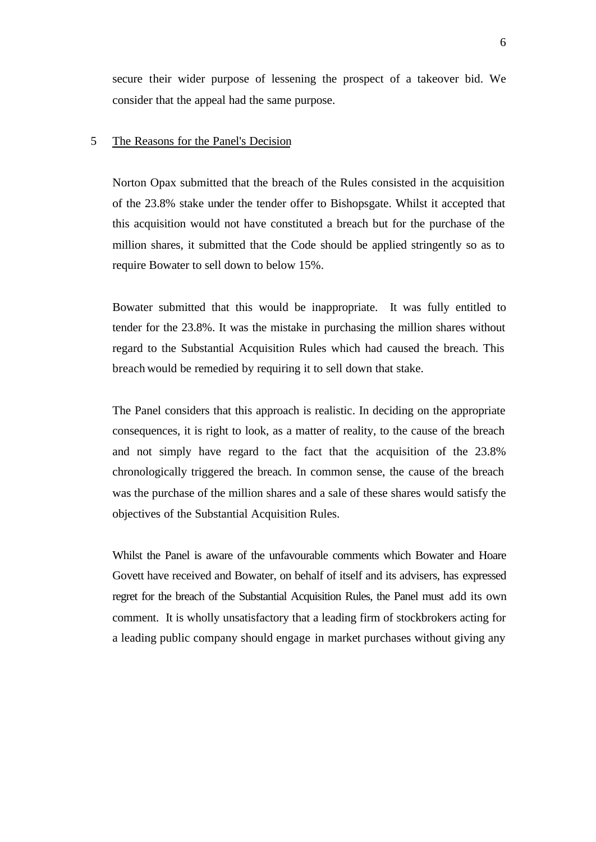secure their wider purpose of lessening the prospect of a takeover bid. We consider that the appeal had the same purpose.

## 5 The Reasons for the Panel's Decision

Norton Opax submitted that the breach of the Rules consisted in the acquisition of the 23.8% stake under the tender offer to Bishopsgate. Whilst it accepted that this acquisition would not have constituted a breach but for the purchase of the million shares, it submitted that the Code should be applied stringently so as to require Bowater to sell down to below 15%.

Bowater submitted that this would be inappropriate. It was fully entitled to tender for the 23.8%. It was the mistake in purchasing the million shares without regard to the Substantial Acquisition Rules which had caused the breach. This breach would be remedied by requiring it to sell down that stake.

The Panel considers that this approach is realistic. In deciding on the appropriate consequences, it is right to look, as a matter of reality, to the cause of the breach and not simply have regard to the fact that the acquisition of the 23.8% chronologically triggered the breach. In common sense, the cause of the breach was the purchase of the million shares and a sale of these shares would satisfy the objectives of the Substantial Acquisition Rules.

Whilst the Panel is aware of the unfavourable comments which Bowater and Hoare Govett have received and Bowater, on behalf of itself and its advisers, has expressed regret for the breach of the Substantial Acquisition Rules, the Panel must add its own comment. It is wholly unsatisfactory that a leading firm of stockbrokers acting for a leading public company should engage in market purchases without giving any